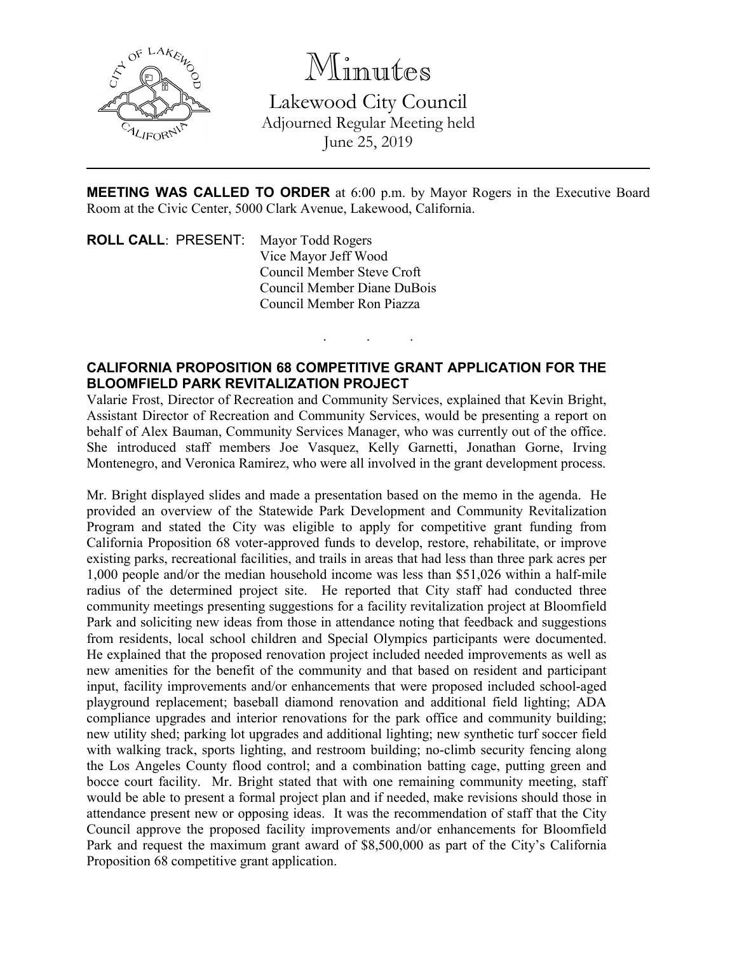

Minutes

Lakewood City Council Adjourned Regular Meeting held June 25, 2019

**MEETING WAS CALLED TO ORDER** at 6:00 p.m. by Mayor Rogers in the Executive Board Room at the Civic Center, 5000 Clark Avenue, Lakewood, California.

. . .

**ROLL CALL**: PRESENT: Mayor Todd Rogers Vice Mayor Jeff Wood Council Member Steve Croft Council Member Diane DuBois Council Member Ron Piazza

## **CALIFORNIA PROPOSITION 68 COMPETITIVE GRANT APPLICATION FOR THE BLOOMFIELD PARK REVITALIZATION PROJECT**

Valarie Frost, Director of Recreation and Community Services, explained that Kevin Bright, Assistant Director of Recreation and Community Services, would be presenting a report on behalf of Alex Bauman, Community Services Manager, who was currently out of the office. She introduced staff members Joe Vasquez, Kelly Garnetti, Jonathan Gorne, Irving Montenegro, and Veronica Ramirez, who were all involved in the grant development process.

Mr. Bright displayed slides and made a presentation based on the memo in the agenda. He provided an overview of the Statewide Park Development and Community Revitalization Program and stated the City was eligible to apply for competitive grant funding from California Proposition 68 voter-approved funds to develop, restore, rehabilitate, or improve existing parks, recreational facilities, and trails in areas that had less than three park acres per 1,000 people and/or the median household income was less than \$51,026 within a half-mile radius of the determined project site. He reported that City staff had conducted three community meetings presenting suggestions for a facility revitalization project at Bloomfield Park and soliciting new ideas from those in attendance noting that feedback and suggestions from residents, local school children and Special Olympics participants were documented. He explained that the proposed renovation project included needed improvements as well as new amenities for the benefit of the community and that based on resident and participant input, facility improvements and/or enhancements that were proposed included school-aged playground replacement; baseball diamond renovation and additional field lighting; ADA compliance upgrades and interior renovations for the park office and community building; new utility shed; parking lot upgrades and additional lighting; new synthetic turf soccer field with walking track, sports lighting, and restroom building; no-climb security fencing along the Los Angeles County flood control; and a combination batting cage, putting green and bocce court facility. Mr. Bright stated that with one remaining community meeting, staff would be able to present a formal project plan and if needed, make revisions should those in attendance present new or opposing ideas. It was the recommendation of staff that the City Council approve the proposed facility improvements and/or enhancements for Bloomfield Park and request the maximum grant award of \$8,500,000 as part of the City's California Proposition 68 competitive grant application.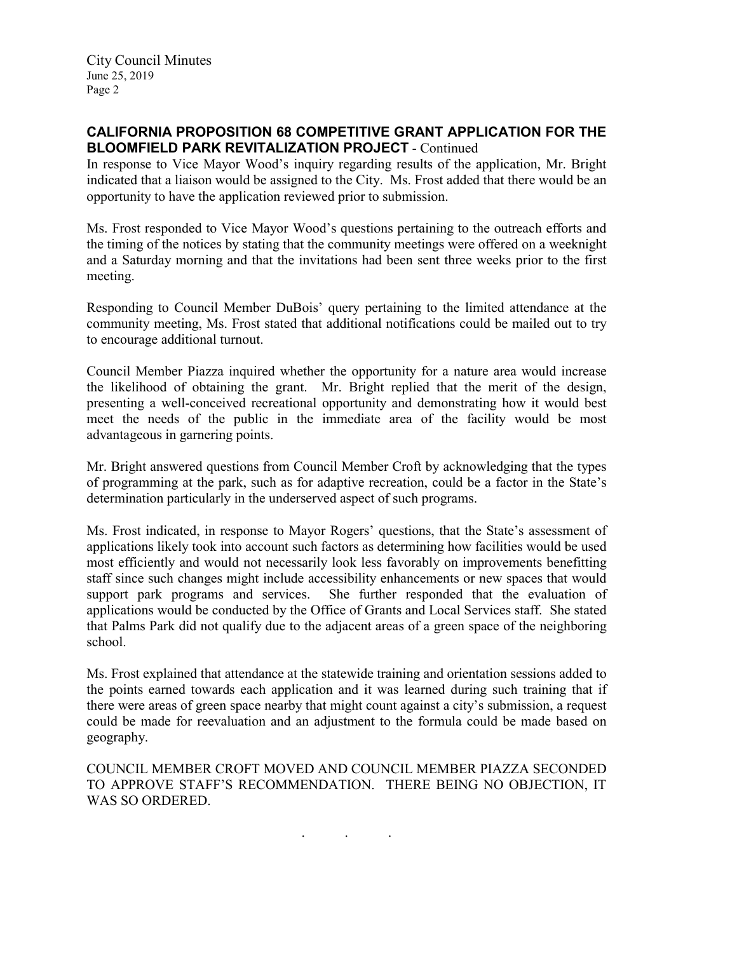City Council Minutes June 25, 2019 Page 2

## **CALIFORNIA PROPOSITION 68 COMPETITIVE GRANT APPLICATION FOR THE BLOOMFIELD PARK REVITALIZATION PROJECT** - Continued

In response to Vice Mayor Wood's inquiry regarding results of the application, Mr. Bright indicated that a liaison would be assigned to the City. Ms. Frost added that there would be an opportunity to have the application reviewed prior to submission.

Ms. Frost responded to Vice Mayor Wood's questions pertaining to the outreach efforts and the timing of the notices by stating that the community meetings were offered on a weeknight and a Saturday morning and that the invitations had been sent three weeks prior to the first meeting.

Responding to Council Member DuBois' query pertaining to the limited attendance at the community meeting, Ms. Frost stated that additional notifications could be mailed out to try to encourage additional turnout.

Council Member Piazza inquired whether the opportunity for a nature area would increase the likelihood of obtaining the grant. Mr. Bright replied that the merit of the design, presenting a well-conceived recreational opportunity and demonstrating how it would best meet the needs of the public in the immediate area of the facility would be most advantageous in garnering points.

Mr. Bright answered questions from Council Member Croft by acknowledging that the types of programming at the park, such as for adaptive recreation, could be a factor in the State's determination particularly in the underserved aspect of such programs.

Ms. Frost indicated, in response to Mayor Rogers' questions, that the State's assessment of applications likely took into account such factors as determining how facilities would be used most efficiently and would not necessarily look less favorably on improvements benefitting staff since such changes might include accessibility enhancements or new spaces that would support park programs and services. She further responded that the evaluation of applications would be conducted by the Office of Grants and Local Services staff. She stated that Palms Park did not qualify due to the adjacent areas of a green space of the neighboring school.

Ms. Frost explained that attendance at the statewide training and orientation sessions added to the points earned towards each application and it was learned during such training that if there were areas of green space nearby that might count against a city's submission, a request could be made for reevaluation and an adjustment to the formula could be made based on geography.

COUNCIL MEMBER CROFT MOVED AND COUNCIL MEMBER PIAZZA SECONDED TO APPROVE STAFF'S RECOMMENDATION. THERE BEING NO OBJECTION, IT WAS SO ORDERED.

. . .